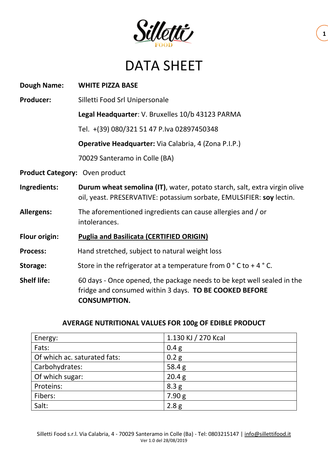

## DATA SHEET

| <b>Dough Name:</b>             | <b>WHITE PIZZA BASE</b>                                                                                                                                 |  |  |  |  |
|--------------------------------|---------------------------------------------------------------------------------------------------------------------------------------------------------|--|--|--|--|
| <b>Producer:</b>               | Silletti Food Srl Unipersonale                                                                                                                          |  |  |  |  |
|                                | Legal Headquarter: V. Bruxelles 10/b 43123 PARMA                                                                                                        |  |  |  |  |
|                                | Tel. +(39) 080/321 51 47 P.Iva 02897450348                                                                                                              |  |  |  |  |
|                                | Operative Headquarter: Via Calabria, 4 (Zona P.I.P.)                                                                                                    |  |  |  |  |
|                                | 70029 Santeramo in Colle (BA)                                                                                                                           |  |  |  |  |
| Product Category: Oven product |                                                                                                                                                         |  |  |  |  |
| Ingredients:                   | Durum wheat semolina (IT), water, potato starch, salt, extra virgin olive<br>oil, yeast. PRESERVATIVE: potassium sorbate, EMULSIFIER: soy lectin.       |  |  |  |  |
| <b>Allergens:</b>              | The aforementioned ingredients can cause allergies and / or<br>intolerances.                                                                            |  |  |  |  |
| Flour origin:                  | <b>Puglia and Basilicata (CERTIFIED ORIGIN)</b>                                                                                                         |  |  |  |  |
| <b>Process:</b>                | Hand stretched, subject to natural weight loss                                                                                                          |  |  |  |  |
| Storage:                       | Store in the refrigerator at a temperature from $0^{\circ}$ C to +4 $^{\circ}$ C.                                                                       |  |  |  |  |
| <b>Shelf life:</b>             | 60 days - Once opened, the package needs to be kept well sealed in the<br>fridge and consumed within 3 days. TO BE COOKED BEFORE<br><b>CONSUMPTION.</b> |  |  |  |  |

## **AVERAGE NUTRITIONAL VALUES FOR 100g OF EDIBLE PRODUCT**

| Energy:                      | 1.130 KJ / 270 Kcal |  |  |  |
|------------------------------|---------------------|--|--|--|
| Fats:                        | 0.4 g               |  |  |  |
| Of which ac. saturated fats: | 0.2 <sub>g</sub>    |  |  |  |
| Carbohydrates:               | 58.4 g              |  |  |  |
| Of which sugar:              | 20.4 g              |  |  |  |
| Proteins:                    | 8.3 g               |  |  |  |
| Fibers:                      | 7.90 g              |  |  |  |
| Salt:                        | 2.8 <sub>g</sub>    |  |  |  |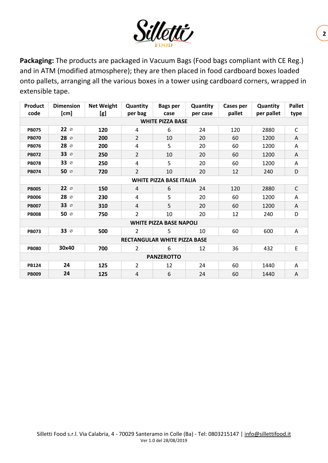

**Packaging:** The products are packaged in Vacuum Bags (Food bags compliant with CE Reg.) and in ATM (modified atmosphere); they are then placed in food cardboard boxes loaded onto pallets, arranging all the various boxes in a tower using cardboard corners, wrapped in extensible tape.

| <b>Product</b>                      | <b>Dimension</b>    | <b>Net Weight</b> | <b>Quantity</b> | <b>Bags per</b> | Quantity | Cases per | <b>Quantity</b> | <b>Pallet</b> |  |  |
|-------------------------------------|---------------------|-------------------|-----------------|-----------------|----------|-----------|-----------------|---------------|--|--|
| code                                | [cm]                | [g]               | per bag         | case            | per case | pallet    | per pallet      | type          |  |  |
| <b>WHITE PIZZA BASE</b>             |                     |                   |                 |                 |          |           |                 |               |  |  |
| <b>PB075</b>                        | $22 \, \varnothing$ | 120               | 4               | 6               | 24       | 120       | 2880            | $\mathsf C$   |  |  |
| <b>PB070</b>                        | $28^\circ$          | 200               | $\overline{2}$  | 10              | 20       | 60        | 1200            | A             |  |  |
| <b>PB076</b>                        | $28 \, \varnothing$ | 200               | 4               | 5               | 20       | 60        | 1200            | Α             |  |  |
| <b>PB072</b>                        | 33 $\oslash$        | 250               | $\overline{2}$  | 10              | 20       | 60        | 1200            | A             |  |  |
| <b>PB078</b>                        | 33 $\varnothing$    | 250               | 4               | 5               | 20       | 60        | 1200            | Α             |  |  |
| <b>PB074</b>                        | 50 $\varnothing$    | 720               | $\overline{2}$  | 10              | 20       | 12        | 240             | D             |  |  |
| <b>WHITE PIZZA BASE ITALIA</b>      |                     |                   |                 |                 |          |           |                 |               |  |  |
| <b>PB005</b>                        | $22 \varnothing$    | 150               | 4               | 6               | 24       | 120       | 2880            | $\mathsf{C}$  |  |  |
| <b>PB006</b>                        | $28 \, \varnothing$ | 230               | 4               | 5               | 20       | 60        | 1200            | Α             |  |  |
| <b>PB007</b>                        | 33 $\varnothing$    | 310               | 4               | 5               | 20       | 60        | 1200            | A             |  |  |
| <b>PB008</b>                        | 50 $\varnothing$    | 750               | $\overline{2}$  | 10              | 20       | 12        | 240             | D             |  |  |
| <b>WHITE PIZZA BASE NAPOLI</b>      |                     |                   |                 |                 |          |           |                 |               |  |  |
| <b>PB073</b>                        | 33 $\varnothing$    | 500               | $\overline{2}$  | 5               | 10       | 60        | 600             | Α             |  |  |
| <b>RECTANGULAR WHITE PIZZA BASE</b> |                     |                   |                 |                 |          |           |                 |               |  |  |
| <b>PB080</b>                        | 30x40               | 700               | $\overline{2}$  | 6               | 12       | 36        | 432             | $\mathsf E$   |  |  |
| <b>PANZEROTTO</b>                   |                     |                   |                 |                 |          |           |                 |               |  |  |
| <b>PB124</b>                        | 24                  | 125               | $\overline{2}$  | 12              | 24       | 60        | 1440            | Α             |  |  |
| <b>PB009</b>                        | 24                  | 125               | 4               | 6               | 24       | 60        | 1440            | A             |  |  |